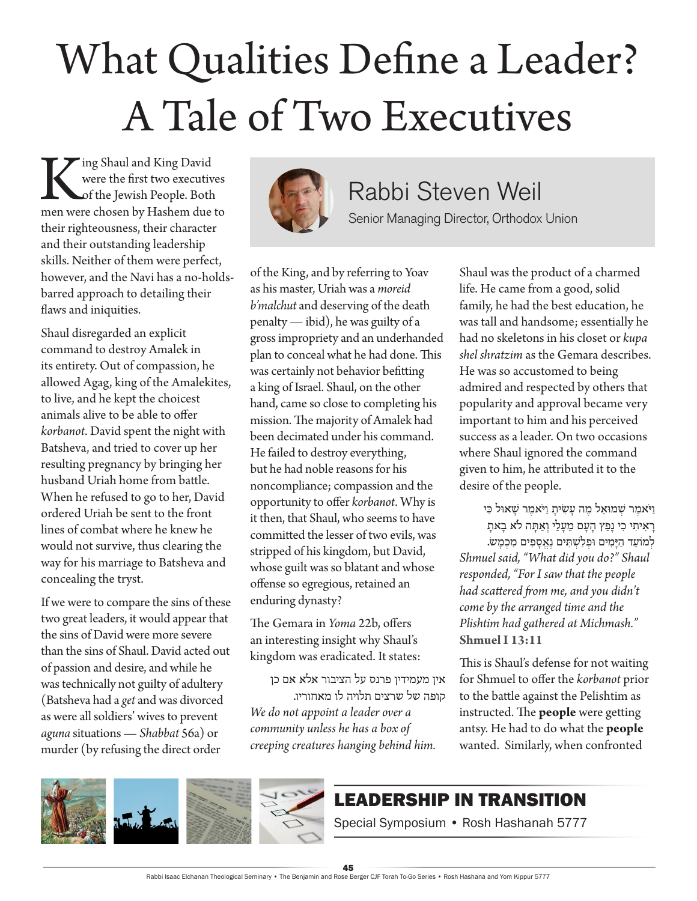## What Qualities Define a Leader? A Tale of Two Executives

King Shaul and King David<br>
were the first two executives<br>
of the Jewish People. Both<br>
men were chosen by Hashem due to were the first two executives of the Jewish People. Both their righteousness, their character and their outstanding leadership skills. Neither of them were perfect, however, and the Navi has a no-holdsbarred approach to detailing their flaws and iniquities.

Shaul disregarded an explicit command to destroy Amalek in its entirety. Out of compassion, he allowed Agag, king of the Amalekites, to live, and he kept the choicest animals alive to be able to offer *korbanot*. David spent the night with Batsheva, and tried to cover up her resulting pregnancy by bringing her husband Uriah home from battle. When he refused to go to her, David ordered Uriah be sent to the front lines of combat where he knew he would not survive, thus clearing the way for his marriage to Batsheva and concealing the tryst.

If we were to compare the sins of these two great leaders, it would appear that the sins of David were more severe than the sins of Shaul. David acted out of passion and desire, and while he was technically not guilty of adultery (Batsheva had a *get* and was divorced as were all soldiers' wives to prevent *aguna* situations — *Shabbat* 56a) or murder (by refusing the direct order



## Rabbi Steven Weil

Senior Managing Director, Orthodox Union

of the King, and by referring to Yoav as his master, Uriah was a *moreid b'malchut* and deserving of the death penalty — ibid), he was guilty of a gross impropriety and an underhanded plan to conceal what he had done. This was certainly not behavior befitting a king of Israel. Shaul, on the other hand, came so close to completing his mission. The majority of Amalek had been decimated under his command. He failed to destroy everything, but he had noble reasons for his noncompliance; compassion and the opportunity to offer *korbanot*. Why is it then, that Shaul, who seems to have committed the lesser of two evils, was stripped of his kingdom, but David, whose guilt was so blatant and whose offense so egregious, retained an enduring dynasty?

The Gemara in *Yoma* 22b, offers an interesting insight why Shaul's kingdom was eradicated. It states:

אין מעמידין פרנס על הציבור אלא אם כן קופה של שרצים תלויה לו מאחוריו.

*We do not appoint a leader over a community unless he has a box of creeping creatures hanging behind him.*  Shaul was the product of a charmed life. He came from a good, solid family, he had the best education, he was tall and handsome; essentially he had no skeletons in his closet or *kupa shel shratzim* as the Gemara describes. He was so accustomed to being admired and respected by others that popularity and approval became very important to him and his perceived success as a leader. On two occasions where Shaul ignored the command given to him, he attributed it to the desire of the people.

> וַ יֹאמֵר שִׁמוּאֵל מֶה עַשִׂיתַ וַיֹּאמֵר שַׁאוּל כִּי רָ אִ יתִ י כִ י נָפַ ץ הָ עָ ם מֵ עָ לַ י וְ אַ תָ ה לֹא בָ אתָ לְמוֹעֵד הַיָּמִים וּפְלְשְׁתִּים נֵאֱסָפִים מִכְמָש.

*Shmuel said, "What did you do?" Shaul responded, "For I saw that the people had scattered from me, and you didn't come by the arranged time and the Plishtim had gathered at Michmash."* **Shmuel I 13:11**

This is Shaul's defense for not waiting for Shmuel to offer the *korbanot* prior to the battle against the Pelishtim as instructed. The **people** were getting antsy. He had to do what the **people** wanted. Similarly, when confronted

## LEADERSHIP IN TRANSITION



## Special Symposium • Rosh Hashanah 5777